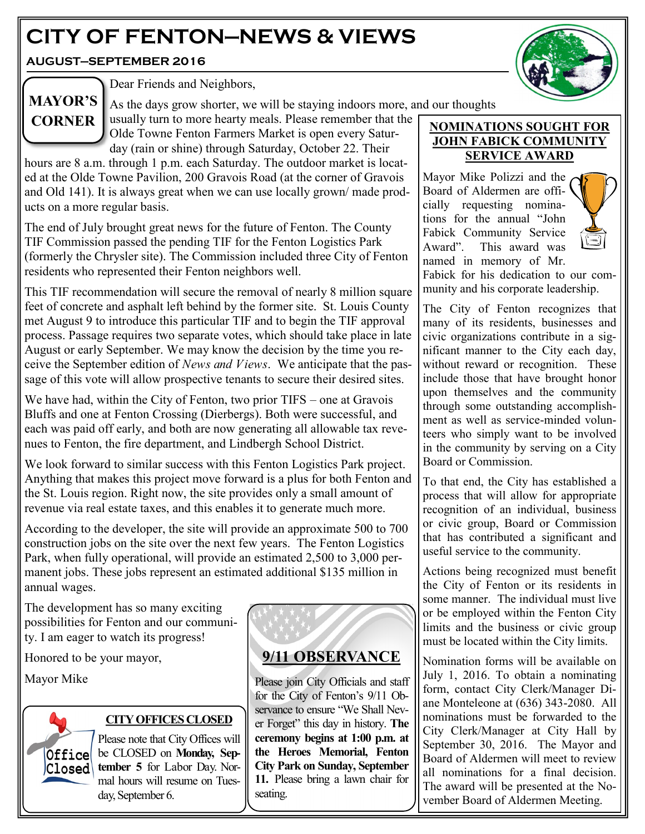# **CITY OF FENTON—NEWS & VIEWS**

**AUGUST—SEPTEMBER 2016**



# **MAYOR'S CORNER**

Dear Friends and Neighbors,

As the days grow shorter, we will be staying indoors more, and our thoughts usually turn to more hearty meals. Please remember that the

Olde Towne Fenton Farmers Market is open every Saturday (rain or shine) through Saturday, October 22. Their

hours are 8 a.m. through 1 p.m. each Saturday. The outdoor market is located at the Olde Towne Pavilion, 200 Gravois Road (at the corner of Gravois and Old 141). It is always great when we can use locally grown/ made products on a more regular basis.

The end of July brought great news for the future of Fenton. The County TIF Commission passed the pending TIF for the Fenton Logistics Park (formerly the Chrysler site). The Commission included three City of Fenton residents who represented their Fenton neighbors well.

This TIF recommendation will secure the removal of nearly 8 million square feet of concrete and asphalt left behind by the former site. St. Louis County met August 9 to introduce this particular TIF and to begin the TIF approval process. Passage requires two separate votes, which should take place in late August or early September. We may know the decision by the time you receive the September edition of *News and Views*. We anticipate that the passage of this vote will allow prospective tenants to secure their desired sites.

We have had, within the City of Fenton, two prior TIFS – one at Gravois Bluffs and one at Fenton Crossing (Dierbergs). Both were successful, and each was paid off early, and both are now generating all allowable tax revenues to Fenton, the fire department, and Lindbergh School District.

We look forward to similar success with this Fenton Logistics Park project. Anything that makes this project move forward is a plus for both Fenton and the St. Louis region. Right now, the site provides only a small amount of revenue via real estate taxes, and this enables it to generate much more.

According to the developer, the site will provide an approximate 500 to 700 construction jobs on the site over the next few years. The Fenton Logistics Park, when fully operational, will provide an estimated 2,500 to 3,000 permanent jobs. These jobs represent an estimated additional \$135 million in annual wages.

The development has so many exciting possibilities for Fenton and our community. I am eager to watch its progress!

Honored to be your mayor,

Mayor Mike



### **CITY OFFICES CLOSED**

Please note that City Offices will **Office** be CLOSED on **Monday**, Sep**tember 5** for Labor Day. Normal hours will resume on Tuesday, September 6.



Please join City Officials and staff for the City of Fenton's 9/11 Observance to ensure "We Shall Never Forget" this day in history. **The ceremony begins at 1:00 p.m. at the Heroes Memorial, Fenton City Park on Sunday, September 11.** Please bring a lawn chair for seating.

#### **NOMINATIONS SOUGHT FOR JOHN FABICK COMMUNITY SERVICE AWARD**

Mayor Mike Polizzi and the Board of Aldermen are officially requesting nominations for the annual "John Fabick Community Service Award". This award was named in memory of Mr.



Fabick for his dedication to our community and his corporate leadership.

The City of Fenton recognizes that many of its residents, businesses and civic organizations contribute in a significant manner to the City each day, without reward or recognition. These include those that have brought honor upon themselves and the community through some outstanding accomplishment as well as service-minded volunteers who simply want to be involved in the community by serving on a City Board or Commission.

To that end, the City has established a process that will allow for appropriate recognition of an individual, business or civic group, Board or Commission that has contributed a significant and useful service to the community.

Actions being recognized must benefit the City of Fenton or its residents in some manner. The individual must live or be employed within the Fenton City limits and the business or civic group must be located within the City limits.

Nomination forms will be available on July 1, 2016. To obtain a nominating form, contact City Clerk/Manager Diane Monteleone at (636) 343-2080. All nominations must be forwarded to the City Clerk/Manager at City Hall by September 30, 2016. The Mayor and Board of Aldermen will meet to review all nominations for a final decision. The award will be presented at the November Board of Aldermen Meeting.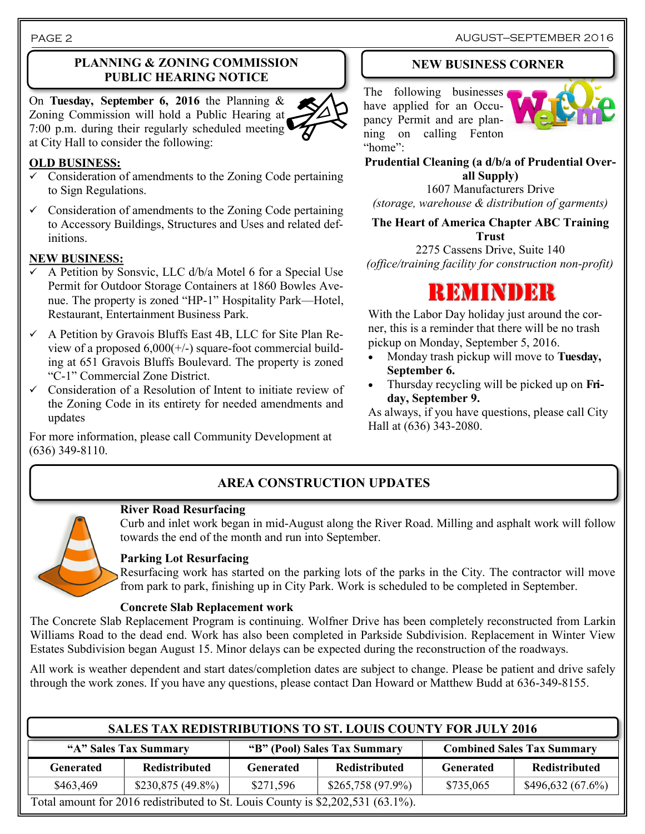#### **PLANNING & ZONING COMMISSION PUBLIC HEARING NOTICE**

On **Tuesday, September 6, 2016** the Planning & Zoning Commission will hold a Public Hearing at 7:00 p.m. during their regularly scheduled meeting at City Hall to consider the following:

#### **OLD BUSINESS:**

- $\checkmark$  Consideration of amendments to the Zoning Code pertaining to Sign Regulations.
- $\checkmark$  Consideration of amendments to the Zoning Code pertaining to Accessory Buildings, Structures and Uses and related definitions.

#### **NEW BUSINESS:**

- A Petition by Sonsvic, LLC d/b/a Motel 6 for a Special Use Permit for Outdoor Storage Containers at 1860 Bowles Avenue. The property is zoned "HP-1" Hospitality Park—Hotel, Restaurant, Entertainment Business Park.
- $\checkmark$  A Petition by Gravois Bluffs East 4B, LLC for Site Plan Review of a proposed 6,000(+/-) square-foot commercial building at 651 Gravois Bluffs Boulevard. The property is zoned "C-1" Commercial Zone District.
- $\checkmark$  Consideration of a Resolution of Intent to initiate review of the Zoning Code in its entirety for needed amendments and updates

For more information, please call Community Development at (636) 349-8110.

#### **NEW BUSINESS CORNER**

The following businesses have applied for an Occupancy Permit and are planning on calling Fenton "home":



**Prudential Cleaning (a d/b/a of Prudential Overall Supply)**

1607 Manufacturers Drive *(storage, warehouse & distribution of garments)*

**The Heart of America Chapter ABC Training Trust**

2275 Cassens Drive, Suite 140 *(office/training facility for construction non-profit)*



With the Labor Day holiday just around the corner, this is a reminder that there will be no trash pickup on Monday, September 5, 2016.

- Monday trash pickup will move to **Tuesday, September 6.**
- Thursday recycling will be picked up on **Friday, September 9.**

As always, if you have questions, please call City Hall at (636) 343-2080.

### **AREA CONSTRUCTION UPDATES**

# **River Road Resurfacing**

Curb and inlet work began in mid-August along the River Road. Milling and asphalt work will follow towards the end of the month and run into September.

#### **Parking Lot Resurfacing**

Resurfacing work has started on the parking lots of the parks in the City. The contractor will move from park to park, finishing up in City Park. Work is scheduled to be completed in September.

#### **Concrete Slab Replacement work**

The Concrete Slab Replacement Program is continuing. Wolfner Drive has been completely reconstructed from Larkin Williams Road to the dead end. Work has also been completed in Parkside Subdivision. Replacement in Winter View Estates Subdivision began August 15. Minor delays can be expected during the reconstruction of the roadways.

All work is weather dependent and start dates/completion dates are subject to change. Please be patient and drive safely through the work zones. If you have any questions, please contact Dan Howard or Matthew Budd at 636-349-8155.

| <b>SALES TAX REDISTRIBUTIONS TO ST. LOUIS COUNTY FOR JULY 2016</b>              |                    |                              |                    |                                   |                  |  |  |
|---------------------------------------------------------------------------------|--------------------|------------------------------|--------------------|-----------------------------------|------------------|--|--|
| "A" Sales Tax Summary                                                           |                    | "B" (Pool) Sales Tax Summary |                    | <b>Combined Sales Tax Summary</b> |                  |  |  |
| <b>Generated</b>                                                                | Redistributed      | <b>Generated</b>             | Redistributed      | <b>Generated</b>                  | Redistributed    |  |  |
| \$463,469                                                                       | $$230,875(49.8\%)$ | \$271,596                    | $$265,758(97.9\%)$ | \$735,065                         | \$496,632(67.6%) |  |  |
| Total amount for 2016 redistributed to St. Louis County is \$2,202,531 (63.1%). |                    |                              |                    |                                   |                  |  |  |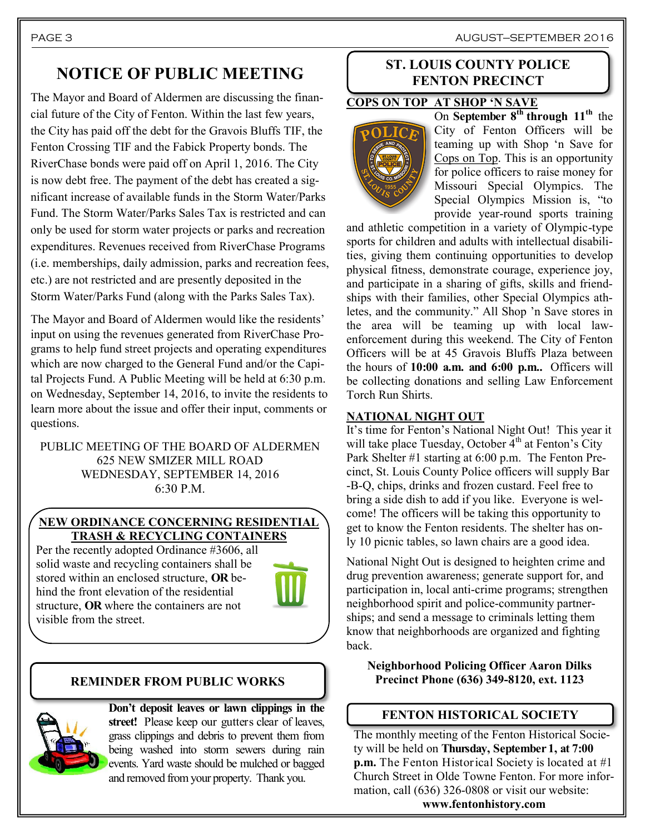PAGE 3 AUGUST—SEPTEMBER 2016

## **NOTICE OF PUBLIC MEETING**

The Mayor and Board of Aldermen are discussing the financial future of the City of Fenton. Within the last few years, the City has paid off the debt for the Gravois Bluffs TIF, the Fenton Crossing TIF and the Fabick Property bonds. The RiverChase bonds were paid off on April 1, 2016. The City is now debt free. The payment of the debt has created a significant increase of available funds in the Storm Water/Parks Fund. The Storm Water/Parks Sales Tax is restricted and can only be used for storm water projects or parks and recreation expenditures. Revenues received from RiverChase Programs (i.e. memberships, daily admission, parks and recreation fees, etc.) are not restricted and are presently deposited in the Storm Water/Parks Fund (along with the Parks Sales Tax).

The Mayor and Board of Aldermen would like the residents' input on using the revenues generated from RiverChase Programs to help fund street projects and operating expenditures which are now charged to the General Fund and/or the Capital Projects Fund. A Public Meeting will be held at 6:30 p.m. on Wednesday, September 14, 2016, to invite the residents to learn more about the issue and offer their input, comments or questions.

PUBLIC MEETING OF THE BOARD OF ALDERMEN 625 NEW SMIZER MILL ROAD WEDNESDAY, SEPTEMBER 14, 2016  $6:30 P M$ 

#### **NEW ORDINANCE CONCERNING RESIDENTIAL TRASH & RECYCLING CONTAINERS**

Per the recently adopted Ordinance #3606, all solid waste and recycling containers shall be stored within an enclosed structure, **OR** behind the front elevation of the residential structure, **OR** where the containers are not visible from the street.



#### **REMINDER FROM PUBLIC WORKS**



**Don't deposit leaves or lawn clippings in the street!** Please keep our gutters clear of leaves, grass clippings and debris to prevent them from being washed into storm sewers during rain events. Yard waste should be mulched or bagged and removed from your property. Thank you.

#### **ST. LOUIS COUNTY POLICE FENTON PRECINCT**

#### **COPS ON TOP AT SHOP 'N SAVE**



On **September 8th through 11th** the City of Fenton Officers will be teaming up with Shop 'n Save for Cops on Top. This is an opportunity for police officers to raise money for Missouri Special Olympics. The Special Olympics Mission is, "to provide year-round sports training

and athletic competition in a variety of Olympic-type sports for children and adults with intellectual disabilities, giving them continuing opportunities to develop physical fitness, demonstrate courage, experience joy, and participate in a sharing of gifts, skills and friendships with their families, other Special Olympics athletes, and the community." All Shop 'n Save stores in the area will be teaming up with local lawenforcement during this weekend. The City of Fenton Officers will be at 45 Gravois Bluffs Plaza between the hours of **10:00 a.m. and 6:00 p.m..** Officers will be collecting donations and selling Law Enforcement Torch Run Shirts.

#### **NATIONAL NIGHT OUT**

It's time for Fenton's National Night Out! This year it will take place Tuesday, October  $4<sup>th</sup>$  at Fenton's City Park Shelter #1 starting at 6:00 p.m. The Fenton Precinct, St. Louis County Police officers will supply Bar -B-Q, chips, drinks and frozen custard. Feel free to bring a side dish to add if you like. Everyone is welcome! The officers will be taking this opportunity to get to know the Fenton residents. The shelter has only 10 picnic tables, so lawn chairs are a good idea.

National Night Out is designed to heighten crime and drug prevention awareness; generate support for, and participation in, local anti-crime programs; strengthen neighborhood spirit and police-community partnerships; and send a message to criminals letting them know that neighborhoods are organized and fighting back.

**Neighborhood Policing Officer Aaron Dilks Precinct Phone (636) 349-8120, ext. 1123**

#### **FENTON HISTORICAL SOCIETY**

The monthly meeting of the Fenton Historical Society will be held on **Thursday, September 1, at 7:00 p.m.** The Fenton Historical Society is located at #1 Church Street in Olde Towne Fenton. For more information, call (636) 326-0808 or visit our website: **www.fentonhistory.com**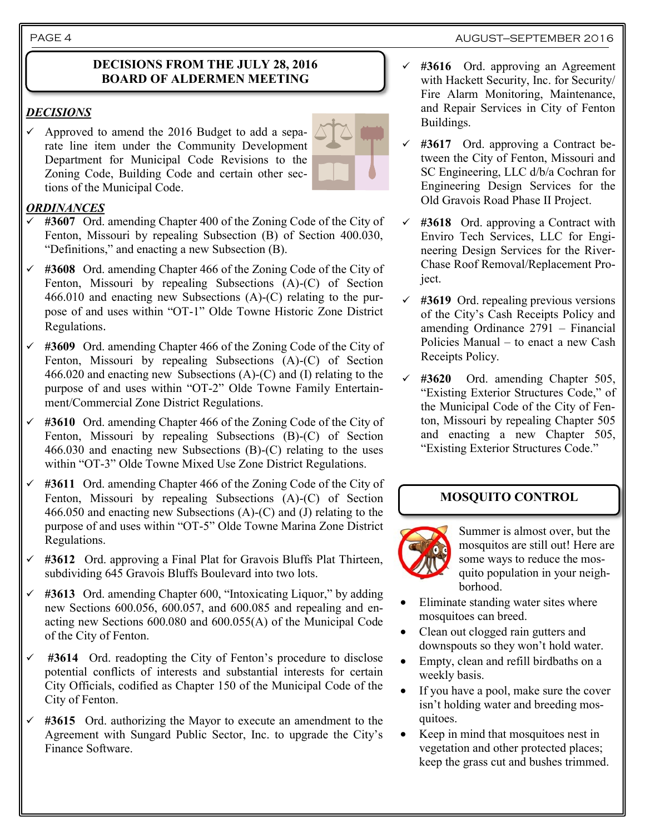#### **DECISIONS FROM THE JULY 28, 2016 BOARD OF ALDERMEN MEETING**

#### *DECISIONS*

 $\checkmark$  Approved to amend the 2016 Budget to add a separate line item under the Community Development Department for Municipal Code Revisions to the Zoning Code, Building Code and certain other sections of the Municipal Code.

### *ORDINANCES*

- **#3607** Ord. amending Chapter 400 of the Zoning Code of the City of Fenton, Missouri by repealing Subsection (B) of Section 400.030, "Definitions," and enacting a new Subsection (B).
- **#3608** Ord. amending Chapter 466 of the Zoning Code of the City of Fenton, Missouri by repealing Subsections (A)-(C) of Section 466.010 and enacting new Subsections (A)-(C) relating to the purpose of and uses within "OT-1" Olde Towne Historic Zone District Regulations.
- **#3609** Ord. amending Chapter 466 of the Zoning Code of the City of Fenton, Missouri by repealing Subsections (A)-(C) of Section 466.020 and enacting new Subsections (A)-(C) and (I) relating to the purpose of and uses within "OT-2" Olde Towne Family Entertainment/Commercial Zone District Regulations.
- **#3610** Ord. amending Chapter 466 of the Zoning Code of the City of Fenton, Missouri by repealing Subsections (B)-(C) of Section 466.030 and enacting new Subsections (B)-(C) relating to the uses within "OT-3" Olde Towne Mixed Use Zone District Regulations.
- **#3611** Ord. amending Chapter 466 of the Zoning Code of the City of Fenton, Missouri by repealing Subsections (A)-(C) of Section 466.050 and enacting new Subsections (A)-(C) and (J) relating to the purpose of and uses within "OT-5" Olde Towne Marina Zone District Regulations.
- **#3612** Ord. approving a Final Plat for Gravois Bluffs Plat Thirteen, subdividing 645 Gravois Bluffs Boulevard into two lots.
- **#3613** Ord. amending Chapter 600, "Intoxicating Liquor," by adding new Sections 600.056, 600.057, and 600.085 and repealing and enacting new Sections 600.080 and 600.055(A) of the Municipal Code of the City of Fenton.
- **#3614** Ord. readopting the City of Fenton's procedure to disclose potential conflicts of interests and substantial interests for certain City Officials, codified as Chapter 150 of the Municipal Code of the City of Fenton.
- **#3615** Ord. authorizing the Mayor to execute an amendment to the Agreement with Sungard Public Sector, Inc. to upgrade the City's Finance Software.
- **#3616** Ord. approving an Agreement with Hackett Security, Inc. for Security/ Fire Alarm Monitoring, Maintenance, and Repair Services in City of Fenton Buildings.
- **#3617** Ord. approving a Contract between the City of Fenton, Missouri and SC Engineering, LLC d/b/a Cochran for Engineering Design Services for the Old Gravois Road Phase II Project.
- **#3618** Ord. approving a Contract with Enviro Tech Services, LLC for Engineering Design Services for the River-Chase Roof Removal/Replacement Project.
- **#3619** Ord. repealing previous versions of the City's Cash Receipts Policy and amending Ordinance 2791 – Financial Policies Manual – to enact a new Cash Receipts Policy.
- **#3620** Ord. amending Chapter 505, "Existing Exterior Structures Code," of the Municipal Code of the City of Fenton, Missouri by repealing Chapter 505 and enacting a new Chapter 505, "Existing Exterior Structures Code."

#### **MOSQUITO CONTROL**



Summer is almost over, but the mosquitos are still out! Here are some ways to reduce the mosquito population in your neighborhood.

- Eliminate standing water sites where mosquitoes can breed.
- Clean out clogged rain gutters and downspouts so they won't hold water.
- Empty, clean and refill birdbaths on a weekly basis.
- If you have a pool, make sure the cover isn't holding water and breeding mosquitoes.
- Keep in mind that mosquitoes nest in vegetation and other protected places; keep the grass cut and bushes trimmed.

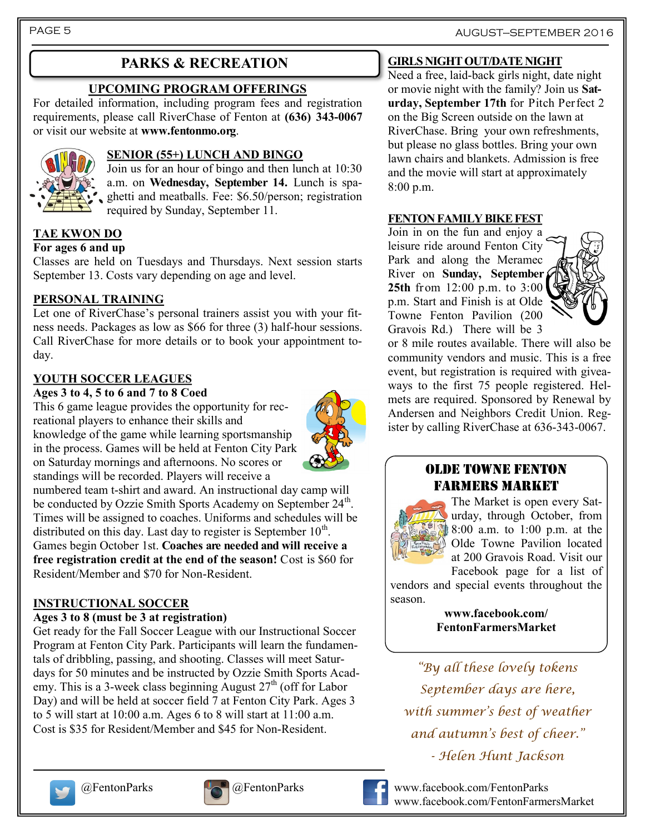### **PARKS & RECREATION**

#### **UPCOMING PROGRAM OFFERINGS**

For detailed information, including program fees and registration requirements, please call RiverChase of Fenton at **(636) 343-0067**  or visit our website at **www.fentonmo.org**.



#### **SENIOR (55+) LUNCH AND BINGO**

Join us for an hour of bingo and then lunch at 10:30 a.m. on **Wednesday, September 14.** Lunch is spaghetti and meatballs. Fee: \$6.50/person; registration required by Sunday, September 11.

#### **TAE KWON DO**

#### **For ages 6 and up**

Classes are held on Tuesdays and Thursdays. Next session starts September 13. Costs vary depending on age and level.

#### **PERSONAL TRAINING**

Let one of RiverChase's personal trainers assist you with your fitness needs. Packages as low as \$66 for three (3) half-hour sessions. Call RiverChase for more details or to book your appointment today.

#### **YOUTH SOCCER LEAGUES**

#### **Ages 3 to 4, 5 to 6 and 7 to 8 Coed**

This 6 game league provides the opportunity for recreational players to enhance their skills and knowledge of the game while learning sportsmanship in the process. Games will be held at Fenton City Park on Saturday mornings and afternoons. No scores or standings will be recorded. Players will receive a

numbered team t-shirt and award. An instructional day camp will be conducted by Ozzie Smith Sports Academy on September 24<sup>th</sup>. Times will be assigned to coaches. Uniforms and schedules will be distributed on this day. Last day to register is September  $10<sup>th</sup>$ . Games begin October 1st. **Coaches are needed and will receive a free registration credit at the end of the season!** Cost is \$60 for Resident/Member and \$70 for Non-Resident.

#### **INSTRUCTIONAL SOCCER**

#### **Ages 3 to 8 (must be 3 at registration)**

Get ready for the Fall Soccer League with our Instructional Soccer Program at Fenton City Park. Participants will learn the fundamentals of dribbling, passing, and shooting. Classes will meet Saturdays for 50 minutes and be instructed by Ozzie Smith Sports Academy. This is a 3-week class beginning August  $27<sup>th</sup>$  (off for Labor Day) and will be held at soccer field 7 at Fenton City Park. Ages 3 to 5 will start at 10:00 a.m. Ages 6 to 8 will start at 11:00 a.m. Cost is \$35 for Resident/Member and \$45 for Non-Resident.



#### **GIRLS NIGHT OUT/DATE NIGHT**

Need a free, laid-back girls night, date night or movie night with the family? Join us **Saturday, September 17th** for Pitch Perfect 2 on the Big Screen outside on the lawn at RiverChase. Bring your own refreshments, but please no glass bottles. Bring your own lawn chairs and blankets. Admission is free and the movie will start at approximately 8:00 p.m.

#### **FENTON FAMILY BIKE FEST**

Join in on the fun and enjoy a leisure ride around Fenton City Park and along the Meramec River on **Sunday, September 25th** from 12:00 p.m. to 3:00 p.m. Start and Finish is at Olde Towne Fenton Pavilion (200 Gravois Rd.) There will be 3



or 8 mile routes available. There will also be community vendors and music. This is a free event, but registration is required with giveaways to the first 75 people registered. Helmets are required. Sponsored by Renewal by Andersen and Neighbors Credit Union. Register by calling RiverChase at 636-343-0067.

#### OLDE TOWNE FENTON FARMERS MARKET



The Market is open every Saturday, through October, from 8:00 a.m. to 1:00 p.m. at the Olde Towne Pavilion located at 200 Gravois Road. Visit our

Facebook page for a list of vendors and special events throughout the season.

> **www.facebook.com/ FentonFarmersMarket**

*"By all these lovely tokens September days are here, with summer's best of weather and autumn's best of cheer." - Helen Hunt Jackson*







@FentonParks @FentonParks www.facebook.com/FentonParks www.facebook.com/FentonFarmersMarket